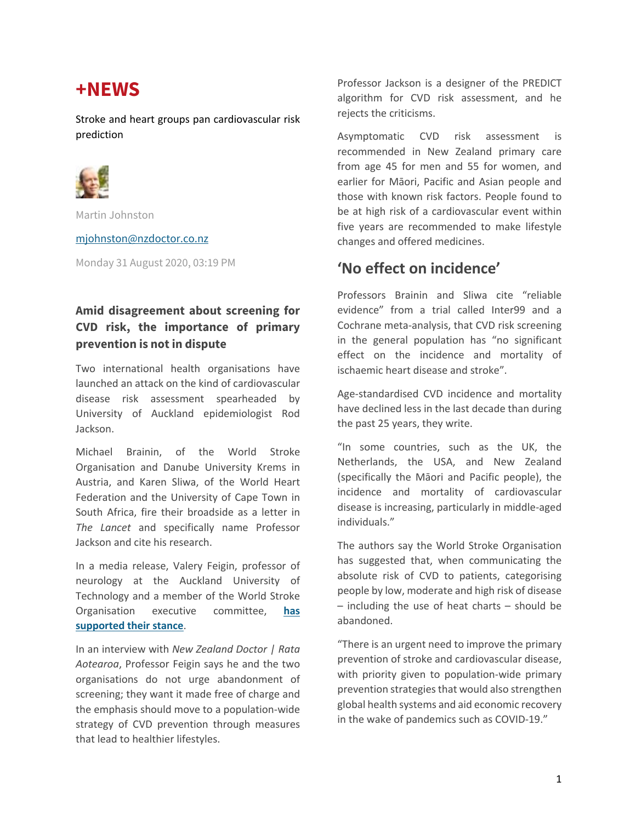# **+NEWS**

Stroke and heart groups pan cardiovascular risk prediction



Martin Johnston

mjohnston@nzdoctor.co.nz

Monday 31 August 2020, 03:19 PM

#### **Amid disagreement about screening for CVD risk, the importance of primary prevention is not in dispute**

Two international health organisations have launched an attack on the kind of cardiovascular disease risk assessment spearheaded by University of Auckland epidemiologist Rod Jackson.

Michael Brainin, of the World Stroke Organisation and Danube University Krems in Austria, and Karen Sliwa, of the World Heart Federation and the University of Cape Town in South Africa, fire their broadside as a letter in *The Lancet* and specifically name Professor Jackson and cite his research.

In a media release, Valery Feigin, professor of neurology at the Auckland University of Technology and a member of the World Stroke Organisation executive committee, **has supported their stance**.

In an interview with *New Zealand Doctor | Rata Aotearoa*, Professor Feigin says he and the two organisations do not urge abandonment of screening; they want it made free of charge and the emphasis should move to a population-wide strategy of CVD prevention through measures that lead to healthier lifestyles.

Professor Jackson is a designer of the PREDICT algorithm for CVD risk assessment, and he rejects the criticisms.

Asymptomatic CVD risk assessment is recommended in New Zealand primary care from age 45 for men and 55 for women, and earlier for Māori, Pacific and Asian people and those with known risk factors. People found to be at high risk of a cardiovascular event within five years are recommended to make lifestyle changes and offered medicines.

### **'No effect on incidence'**

Professors Brainin and Sliwa cite "reliable evidence" from a trial called Inter99 and a Cochrane meta-analysis, that CVD risk screening in the general population has "no significant effect on the incidence and mortality of ischaemic heart disease and stroke".

Age-standardised CVD incidence and mortality have declined less in the last decade than during the past 25 years, they write.

"In some countries, such as the UK, the Netherlands, the USA, and New Zealand (specifically the Māori and Pacific people), the incidence and mortality of cardiovascular disease is increasing, particularly in middle-aged individuals."

The authors say the World Stroke Organisation has suggested that, when communicating the absolute risk of CVD to patients, categorising people by low, moderate and high risk of disease – including the use of heat charts – should be abandoned.

"There is an urgent need to improve the primary prevention of stroke and cardiovascular disease, with priority given to population-wide primary prevention strategies that would also strengthen global health systems and aid economic recovery in the wake of pandemics such as COVID-19."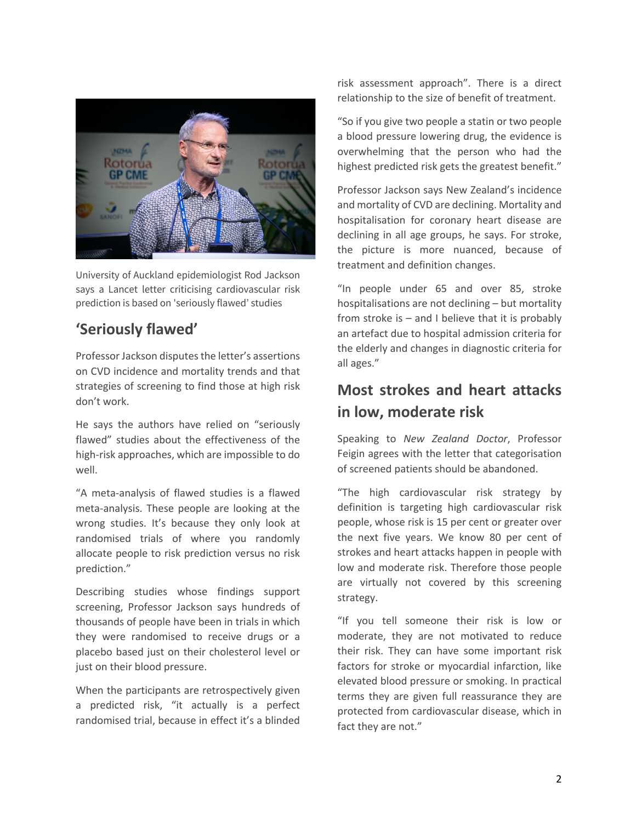

University of Auckland epidemiologist Rod Jackson says a Lancet letter criticising cardiovascular risk prediction is based on 'seriously flawed' studies

## **'Seriously flawed'**

Professor Jackson disputes the letter's assertions on CVD incidence and mortality trends and that strategies of screening to find those at high risk don't work.

He says the authors have relied on "seriously flawed" studies about the effectiveness of the high-risk approaches, which are impossible to do well.

"A meta-analysis of flawed studies is a flawed meta-analysis. These people are looking at the wrong studies. It's because they only look at randomised trials of where you randomly allocate people to risk prediction versus no risk prediction."

Describing studies whose findings support screening, Professor Jackson says hundreds of thousands of people have been in trials in which they were randomised to receive drugs or a placebo based just on their cholesterol level or just on their blood pressure.

When the participants are retrospectively given a predicted risk, "it actually is a perfect randomised trial, because in effect it's a blinded risk assessment approach". There is a direct relationship to the size of benefit of treatment.

"So if you give two people a statin or two people a blood pressure lowering drug, the evidence is overwhelming that the person who had the highest predicted risk gets the greatest benefit."

Professor Jackson says New Zealand's incidence and mortality of CVD are declining. Mortality and hospitalisation for coronary heart disease are declining in all age groups, he says. For stroke, the picture is more nuanced, because of treatment and definition changes.

"In people under 65 and over 85, stroke hospitalisations are not declining – but mortality from stroke is  $-$  and I believe that it is probably an artefact due to hospital admission criteria for the elderly and changes in diagnostic criteria for all ages."

## **Most strokes and heart attacks in low, moderate risk**

Speaking to *New Zealand Doctor*, Professor Feigin agrees with the letter that categorisation of screened patients should be abandoned.

"The high cardiovascular risk strategy by definition is targeting high cardiovascular risk people, whose risk is 15 per cent or greater over the next five years. We know 80 per cent of strokes and heart attacks happen in people with low and moderate risk. Therefore those people are virtually not covered by this screening strategy.

"If you tell someone their risk is low or moderate, they are not motivated to reduce their risk. They can have some important risk factors for stroke or myocardial infarction, like elevated blood pressure or smoking. In practical terms they are given full reassurance they are protected from cardiovascular disease, which in fact they are not."